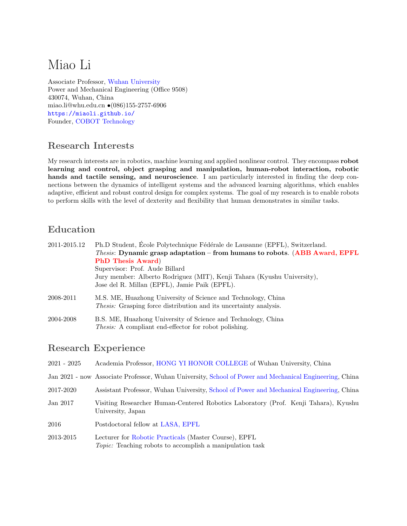# Miao Li

Associate Professor, [Wuhan University](http://www.whu.edu.cn/) Power and Mechanical Engineering (Office 9508) 430074, Wuhan, China miao.li@whu.edu.cn •(086)155-2757-6906 <https://miaoli.github.io/> Founder, [COBOT Technology](http://www.cobotsys.com/)

# Research Interests

My research interests are in robotics, machine learning and applied nonlinear control. They encompass robot learning and control, object grasping and manipulation, human-robot interaction, robotic hands and tactile sensing, and neuroscience. I am particularly interested in finding the deep connections between the dynamics of intelligent systems and the advanced learning algorithms, which enables adaptive, efficient and robust control design for complex systems. The goal of my research is to enable robots to perform skills with the level of dexterity and flexibility that human demonstrates in similar tasks.

# Education

| 2011-2015.12 | Ph.D Student, Ecole Polytechnique Fédérale de Lausanne (EPFL), Switzerland.<br><i>Thesis:</i> Dynamic grasp adaptation – from humans to robots. (ABB Award, EPFL<br><b>PhD Thesis Award</b> )<br>Supervisor: Prof. Aude Billard<br>Jury member: Alberto Rodriguez (MIT), Kenji Tahara (Kyushu University),<br>Jose del R. Millan (EPFL), Jamie Paik (EPFL). |
|--------------|-------------------------------------------------------------------------------------------------------------------------------------------------------------------------------------------------------------------------------------------------------------------------------------------------------------------------------------------------------------|
| 2008-2011    | M.S. ME, Huazhong University of Science and Technology, China<br><i>Thesis:</i> Grasping force distribution and its uncertainty analysis.                                                                                                                                                                                                                   |
| 2004-2008    | B.S. ME, Huazhong University of Science and Technology, China<br><i>Thesis:</i> A compliant end-effector for robot polishing.                                                                                                                                                                                                                               |

## Research Experience

| $2021 - 2025$ | Academia Professor, HONG YI HONOR COLLEGE of Wuhan University, China                                                     |
|---------------|--------------------------------------------------------------------------------------------------------------------------|
|               | Jan 2021 - now Associate Professor, Wuhan University, School of Power and Mechanical Engineering, China                  |
| 2017-2020     | Assistant Professor, Wuhan University, School of Power and Mechanical Engineering, China                                 |
| Jan 2017      | Visiting Researcher Human-Centered Robotics Laboratory (Prof. Kenji Tahara), Kyushu<br>University, Japan                 |
| 2016          | Postdoctoral fellow at LASA, EPFL                                                                                        |
| 2013-2015     | Lecturer for Robotic Practicals (Master Course), EPFL<br><i>Topic:</i> Teaching robots to accomplish a manipulation task |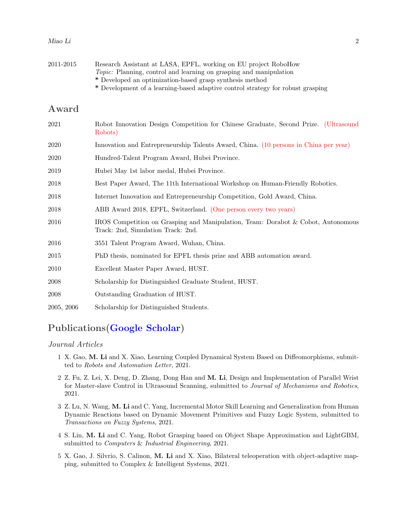| Miao Li |  |  |
|---------|--|--|
|         |  |  |

| 2011-2015  | Research Assistant at LASA, EPFL, working on EU project RoboHow<br><i>Topic:</i> Planning, control and learning on grasping and manipulation<br>* Developed an optimization-based grasp synthesis method<br>* Development of a learning-based adaptive control strategy for robust grasping |
|------------|---------------------------------------------------------------------------------------------------------------------------------------------------------------------------------------------------------------------------------------------------------------------------------------------|
| Award      |                                                                                                                                                                                                                                                                                             |
| 2021       | Robot Innovation Design Competition for Chinese Graduate, Second Prize. (Ultrasound<br>Robots)                                                                                                                                                                                              |
| 2020       | Innovation and Entrepreneurship Talents Award, China. (10 persons in China per year)                                                                                                                                                                                                        |
| 2020       | Hundred-Talent Program Award, Hubei Province.                                                                                                                                                                                                                                               |
| 2019       | Hubei May 1st labor medal, Hubei Province.                                                                                                                                                                                                                                                  |
| 2018       | Best Paper Award, The 11th International Workshop on Human-Friendly Robotics.                                                                                                                                                                                                               |
| 2018       | Internet Innovation and Entrepreneurship Competition, Gold Award, China.                                                                                                                                                                                                                    |
| 2018       | ABB Award 2018, EPFL, Switzerland. (One person every two years)                                                                                                                                                                                                                             |
| 2016       | IROS Competition on Grasping and Manipulation, Team: Dorabot & Cobot, Autonomous<br>Track: 2nd, Simulation Track: 2nd.                                                                                                                                                                      |
| 2016       | 3551 Talent Program Award, Wuhan, China.                                                                                                                                                                                                                                                    |
| 2015       | PhD thesis, nominated for EPFL thesis prize and ABB automation award.                                                                                                                                                                                                                       |
| 2010       | Excellent Master Paper Award, HUST.                                                                                                                                                                                                                                                         |
| 2008       | Scholarship for Distinguished Graduate Student, HUST.                                                                                                                                                                                                                                       |
| 2008       | Outstanding Graduation of HUST.                                                                                                                                                                                                                                                             |
| 2005, 2006 | Scholarship for Distinguished Students.                                                                                                                                                                                                                                                     |

# Publications[\(Google Scholar\)](https://scholar.google.com/citations?user=hPQY4voAAAAJ&hl=en)

#### Journal Articles

- 1 X. Gao, M. Li and X. Xiao, Learning Coupled Dynamical System Based on Diffeomorphisms, submitted to Robots and Automation Letter, 2021.
- 2 Z. Fu, Z. Lei, X. Deng, D. Zhang, Dong Han and M. Li, Design and Implementation of Parallel Wrist for Master-slave Control in Ultrasound Scanning, submitted to Journal of Mechanisms and Robotics, 2021.
- 3 Z. Lu, N. Wang, M. Li and C. Yang, Incremental Motor Skill Learning and Generalization from Human Dynamic Reactions based on Dynamic Movement Primitives and Fuzzy Logic System, submitted to Transactions on Fuzzy Systems, 2021.
- 4 S. Lin, M. Li and C. Yang, Robot Grasping based on Object Shape Approximation and LightGBM, submitted to Computers & Industrial Engineering, 2021.
- 5 X. Gao, J. Silvrio, S. Calinon, M. Li and X. Xiao, Bilateral teleoperation with object-adaptive mapping, submitted to Complex & Intelligent Systems, 2021.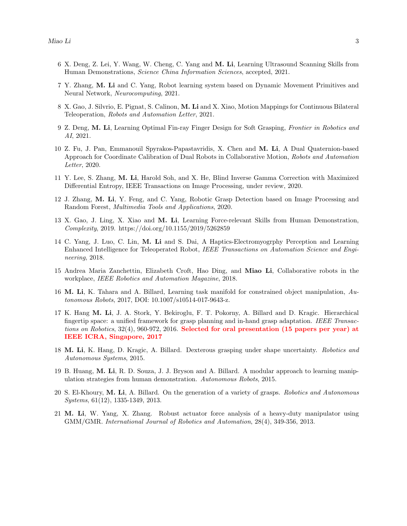- 6 X. Deng, Z. Lei, Y. Wang, W. Cheng, C. Yang and M. Li, Learning Ultrasound Scanning Skills from Human Demonstrations, Science China Information Sciences, accepted, 2021.
- 7 Y. Zhang, M. Li and C. Yang, Robot learning system based on Dynamic Movement Primitives and Neural Network, Neurocomputing, 2021.
- 8 X. Gao, J. Silvrio, E. Pignat, S. Calinon, M. Li and X. Xiao, Motion Mappings for Continuous Bilateral Teleoperation, Robots and Automation Letter, 2021.
- 9 Z. Deng, M. Li, Learning Optimal Fin-ray Finger Design for Soft Grasping, Frontier in Robotics and AI, 2021.
- 10 Z. Fu, J. Pan, Emmanouil Spyrakos-Papastavridis, X. Chen and M. Li, A Dual Quaternion-based Approach for Coordinate Calibration of Dual Robots in Collaborative Motion, Robots and Automation Letter, 2020.
- 11 Y. Lee, S. Zhang, M. Li, Harold Soh, and X. He, Blind Inverse Gamma Correction with Maximized Differential Entropy, IEEE Transactions on Image Processing, under review, 2020.
- 12 J. Zhang, M. Li, Y. Feng, and C. Yang, Robotic Grasp Detection based on Image Processing and Random Forest, Multimedia Tools and Applications, 2020.
- 13 X. Gao, J. Ling, X. Xiao and M. Li, Learning Force-relevant Skills from Human Demonstration, Complexity, 2019. https://doi.org/10.1155/2019/5262859
- 14 C. Yang, J. Luo, C. Lin, M. Li and S. Dai, A Haptics-Electromyogrphy Perception and Learning Enhanced Intelligence for Teleoperated Robot, IEEE Transactions on Automation Science and Engineering, 2018.
- 15 Andrea Maria Zanchettin, Elizabeth Croft, Hao Ding, and Miao Li, Collaborative robots in the workplace, IEEE Robotics and Automation Magazine, 2018.
- 16 M. Li, K. Tahara and A. Billard, Learning task manifold for constrained object manipulation, Autonomous Robots, 2017, DOI: 10.1007/s10514-017-9643-z.
- 17 K. Hang M. Li, J. A. Stork, Y. Bekiroglu, F. T. Pokorny, A. Billard and D. Kragic. Hierarchical fingertip space: a unified framework for grasp planning and in-hand grasp adaptation. IEEE Transactions on Robotics, 32(4), 960-972, 2016. Selected for oral presentation (15 papers per year) at IEEE ICRA, Singapore, 2017
- 18 M. Li, K. Hang, D. Kragic, A. Billard. Dexterous grasping under shape uncertainty. Robotics and Autonomous Systems, 2015.
- 19 B. Huang, M. Li, R. D. Souza, J. J. Bryson and A. Billard. A modular approach to learning manipulation strategies from human demonstration. Autonomous Robots, 2015.
- 20 S. El-Khoury, M. Li, A. Billard. On the generation of a variety of grasps. Robotics and Autonomous Systems, 61(12), 1335-1349, 2013.
- 21 M. Li, W. Yang, X. Zhang. Robust actuator force analysis of a heavy-duty manipulator using GMM/GMR. International Journal of Robotics and Automation, 28(4), 349-356, 2013.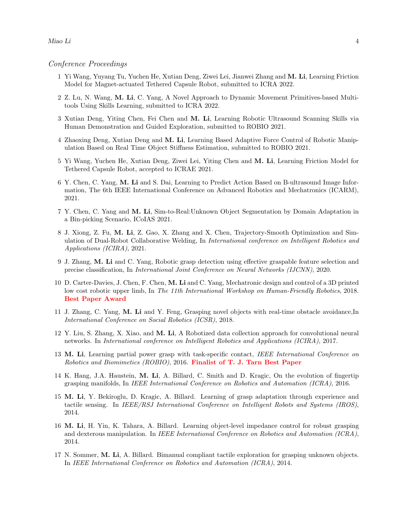#### Conference Proceedings

- 1 Yi Wang, Yuyang Tu, Yuchen He, Xutian Deng, Ziwei Lei, Jianwei Zhang and M. Li, Learning Friction Model for Magnet-actuated Tethered Capsule Robot, submitted to ICRA 2022.
- 2 Z. Lu, N. Wang, M. Li, C. Yang, A Novel Approach to Dynamic Movement Primitives-based Multitools Using Skills Learning, submitted to ICRA 2022.
- 3 Xutian Deng, Yiting Chen, Fei Chen and M. Li, Learning Robotic Ultrasound Scanning Skills via Human Demonstration and Guided Exploration, submitted to ROBIO 2021.
- 4 Zhaoxing Deng, Xutian Deng and M. Li, Learning Based Adaptive Force Control of Robotic Manipulation Based on Real Time Object Stiffness Estimation, submitted to ROBIO 2021.
- 5 Yi Wang, Yuchen He, Xutian Deng, Ziwei Lei, Yiting Chen and M. Li, Learning Friction Model for Tethered Capsule Robot, accepted to ICRAE 2021.
- 6 Y. Chen, C. Yang, M. Li and S. Dai, Learning to Predict Action Based on B-ultrasound Image Information, The 6th IEEE International Conference on Advanced Robotics and Mechatronics (ICARM), 2021.
- 7 Y. Chen, C. Yang and M. Li, Sim-to-Real:Unknown Object Segmentation by Domain Adaptation in a Bin-picking Scenario, ICoIAS 2021.
- 8 J. Xiong, Z. Fu, M. Li, Z. Gao, X. Zhang and X. Chen, Trajectory-Smooth Optimization and Simulation of Dual-Robot Collaborative Welding, In International conference on Intelligent Robotics and Applications (ICIRA), 2021.
- 9 J. Zhang, M. Li and C. Yang, Robotic grasp detection using effective graspable feature selection and precise classification, In International Joint Conference on Neural Networks (IJCNN), 2020.
- 10 D. Carter-Davies, J. Chen, F. Chen, M. Li and C. Yang, Mechatronic design and control of a 3D printed low cost robotic upper limb, In The 11th International Workshop on Human-Friendly Robotics, 2018. Best Paper Award
- 11 J. Zhang, C. Yang, M. Li and Y. Feng, Grasping novel objects with real-time obstacle avoidance,In International Conference on Social Robotics (ICSR), 2018.
- 12 Y. Liu, S. Zhang, X. Xiao, and M. Li, A Robotized data collection approach for convolutional neural networks. In International conference on Intelligent Robotics and Applications (ICIRA), 2017.
- 13 M. Li, Learning partial power grasp with task-specific contact, IEEE International Conference on Robotics and Biomimetics (ROBIO), 2016. Finalist of T. J. Tarn Best Paper
- 14 K. Hang, J.A. Haustein, M. Li, A. Billard, C. Smith and D. Kragic, On the evolution of fingertip grasping manifolds, In IEEE International Conference on Robotics and Automation (ICRA), 2016.
- 15 M. Li, Y. Bekiroglu, D. Kragic, A. Billard. Learning of grasp adaptation through experience and tactile sensing. In IEEE/RSJ International Conference on Intelligent Robots and Systems (IROS), 2014.
- 16 M. Li, H. Yin, K. Tahara, A. Billard. Learning object-level impedance control for robust grasping and dexterous manipulation. In IEEE International Conference on Robotics and Automation (ICRA), 2014.
- 17 N. Sommer, M. Li, A. Billard. Bimanual compliant tactile exploration for grasping unknown objects. In IEEE International Conference on Robotics and Automation (ICRA), 2014.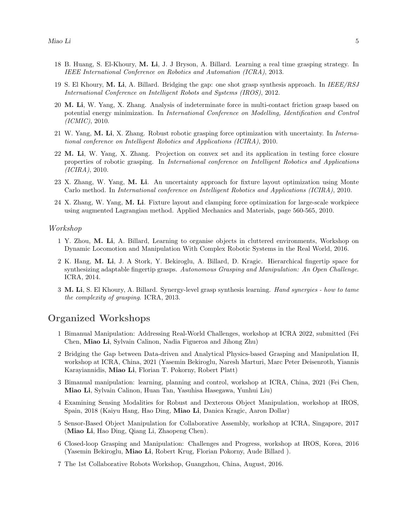- 18 B. Huang, S. El-Khoury, M. Li, J. J Bryson, A. Billard. Learning a real time grasping strategy. In IEEE International Conference on Robotics and Automation (ICRA), 2013.
- 19 S. El Khoury, M. Li, A. Billard. Bridging the gap: one shot grasp synthesis approach. In IEEE/RSJ International Conference on Intelligent Robots and Systems (IROS), 2012.
- 20 M. Li, W. Yang, X. Zhang. Analysis of indeterminate force in multi-contact friction grasp based on potential energy minimization. In International Conference on Modelling, Identification and Control (ICMIC), 2010.
- 21 W. Yang, M. Li, X. Zhang. Robust robotic grasping force optimization with uncertainty. In International conference on Intelligent Robotics and Applications (ICIRA), 2010.
- 22 M. Li, W. Yang, X. Zhang. Projection on convex set and its application in testing force closure properties of robotic grasping. In International conference on Intelligent Robotics and Applications (ICIRA), 2010.
- 23 X. Zhang, W. Yang, M. Li. An uncertainty approach for fixture layout optimization using Monte Carlo method. In International conference on Intelligent Robotics and Applications (ICIRA), 2010.
- 24 X. Zhang, W. Yang, M. Li. Fixture layout and clamping force optimization for large-scale workpiece using augmented Lagrangian method. Applied Mechanics and Materials, page 560-565, 2010.

#### Workshop

- 1 Y. Zhou, M. Li, A. Billard, Learning to organise objects in cluttered environments, Workshop on Dynamic Locomotion and Manipulation With Complex Robotic Systems in the Real World, 2016.
- 2 K. Hang, M. Li, J. A Stork, Y. Bekiroglu, A. Billard, D. Kragic. Hierarchical fingertip space for synthesizing adaptable fingertip grasps. Autonomous Grasping and Manipulation: An Open Challenge. ICRA, 2014.
- 3 M. Li, S. El Khoury, A. Billard. Synergy-level grasp synthesis learning. Hand synergies how to tame the complexity of grasping. ICRA, 2013.

### Organized Workshops

- 1 Bimanual Manipulation: Addressing Real-World Challenges, workshop at ICRA 2022, submitted (Fei Chen, Miao Li, Sylvain Calinon, Nadia Figueroa and Jihong Zhu)
- 2 Bridging the Gap between Data-driven and Analytical Physics-based Grasping and Manipulation II, workshop at ICRA, China, 2021 (Yasemin Bekiroglu, Naresh Marturi, Marc Peter Deisenroth, Yiannis Karayiannidis, Miao Li, Florian T. Pokorny, Robert Platt)
- 3 Bimanual manipulation: learning, planning and control, workshop at ICRA, China, 2021 (Fei Chen, Miao Li, Sylvain Calinon, Huan Tan, Yasuhisa Hasegawa, Yunhui Liu)
- 4 Examining Sensing Modalities for Robust and Dexterous Object Manipulation, workshop at IROS, Spain, 2018 (Kaiyu Hang, Hao Ding, Miao Li, Danica Kragic, Aaron Dollar)
- 5 Sensor-Based Object Manipulation for Collaborative Assembly, workshop at ICRA, Singapore, 2017 (Miao Li, Hao Ding, Qiang Li, Zhaopeng Chen).
- 6 Closed-loop Grasping and Manipulation: Challenges and Progress, workshop at IROS, Korea, 2016 (Yasemin Bekiroglu, Miao Li, Robert Krug, Florian Pokorny, Aude Billard ).
- 7 The 1st Collaborative Robots Workshop, Guangzhou, China, August, 2016.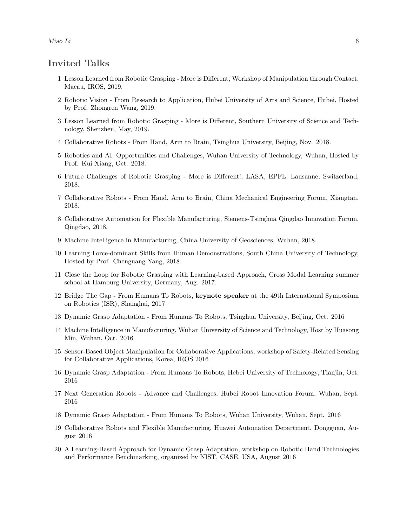Miao Li 6

### Invited Talks

- 1 Lesson Learned from Robotic Grasping More is Different, Workshop of Manipulation through Contact, Macau, IROS, 2019.
- 2 Robotic Vision From Research to Application, Hubei University of Arts and Science, Hubei, Hosted by Prof. Zhongren Wang, 2019.
- 3 Lesson Learned from Robotic Grasping More is Different, Southern University of Science and Technology, Shenzhen, May, 2019.
- 4 Collaborative Robots From Hand, Arm to Brain, Tsinghua University, Beijing, Nov. 2018.
- 5 Robotics and AI: Opportunities and Challenges, Wuhan University of Technology, Wuhan, Hosted by Prof. Kui Xiang, Oct. 2018.
- 6 Future Challenges of Robotic Grasping More is Different!, LASA, EPFL, Lausanne, Switzerland, 2018.
- 7 Collaborative Robots From Hand, Arm to Brain, China Mechanical Engineering Forum, Xiangtan, 2018.
- 8 Collaborative Automation for Flexible Manufacturing, Siemens-Tsinghua Qingdao Innovation Forum, Qingdao, 2018.
- 9 Machine Intelligence in Manufacturing, China University of Geosciences, Wuhan, 2018.
- 10 Learning Force-dominant Skills from Human Demonstrations, South China University of Technology, Hosted by Prof. Chenguang Yang, 2018.
- 11 Close the Loop for Robotic Grasping with Learning-based Approach, Cross Modal Learning summer school at Hamburg University, Germany, Aug. 2017.
- 12 Bridge The Gap From Humans To Robots, keynote speaker at the 49th International Symposium on Robotics (ISR), Shanghai, 2017
- 13 Dynamic Grasp Adaptation From Humans To Robots, Tsinghua University, Beijing, Oct. 2016
- 14 Machine Intelligence in Manufacturing, Wuhan University of Science and Technology, Host by Huasong Min, Wuhan, Oct. 2016
- 15 Sensor-Based Object Manipulation for Collaborative Applications, workshop of Safety-Related Sensing for Collaborative Applications, Korea, IROS 2016
- 16 Dynamic Grasp Adaptation From Humans To Robots, Hebei University of Technology, Tianjin, Oct. 2016
- 17 Next Generation Robots Advance and Challenges, Hubei Robot Innovation Forum, Wuhan, Sept. 2016
- 18 Dynamic Grasp Adaptation From Humans To Robots, Wuhan University, Wuhan, Sept. 2016
- 19 Collaborative Robots and Flexible Manufacturing, Huawei Automation Department, Dongguan, August 2016
- 20 A Learning-Based Approach for Dynamic Grasp Adaptation, workshop on Robotic Hand Technologies and Performance Benchmarking, organized by NIST, CASE, USA, August 2016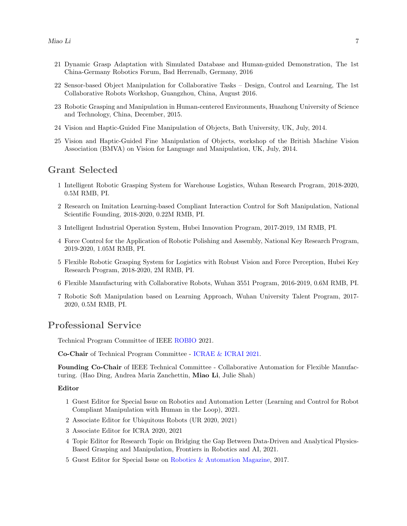- 21 Dynamic Grasp Adaptation with Simulated Database and Human-guided Demonstration, The 1st China-Germany Robotics Forum, Bad Herrenalb, Germany, 2016
- 22 Sensor-based Object Manipulation for Collaborative Tasks Design, Control and Learning, The 1st Collaborative Robots Workshop, Guangzhou, China, August 2016.
- 23 Robotic Grasping and Manipulation in Human-centered Environments, Huazhong University of Science and Technology, China, December, 2015.
- 24 Vision and Haptic-Guided Fine Manipulation of Objects, Bath University, UK, July, 2014.
- 25 Vision and Haptic-Guided Fine Manipulation of Objects, workshop of the British Machine Vision Association (BMVA) on Vision for Language and Manipulation, UK, July, 2014.

### Grant Selected

- 1 Intelligent Robotic Grasping System for Warehouse Logistics, Wuhan Research Program, 2018-2020, 0.5M RMB, PI.
- 2 Research on Imitation Learning-based Compliant Interaction Control for Soft Manipulation, National Scientific Founding, 2018-2020, 0.22M RMB, PI.
- 3 Intelligent Industrial Operation System, Hubei Innovation Program, 2017-2019, 1M RMB, PI.
- 4 Force Control for the Application of Robotic Polishing and Assembly, National Key Research Program, 2019-2020, 1.05M RMB, PI.
- 5 Flexible Robotic Grasping System for Logistics with Robust Vision and Force Perception, Hubei Key Research Program, 2018-2020, 2M RMB, PI.
- 6 Flexible Manufacturing with Collaborative Robots, Wuhan 3551 Program, 2016-2019, 0.6M RMB, PI.
- 7 Robotic Soft Manipulation based on Learning Approach, Wuhan University Talent Program, 2017- 2020, 0.5M RMB, PI.

### Professional Service

Technical Program Committee of IEEE ROBIO 2021.

Co-Chair of Technical Program Committee - [ICRAE & ICRAI 2021.](http://icrae.org/committee.html)

Founding Co-Chair of IEEE Technical Committee - Collaborative Automation for Flexible Manufacturing. (Hao Ding, Andrea Maria Zanchettin, Miao Li, Julie Shah)

#### Editor

- 1 Guest Editor for Special Issue on Robotics and Automation Letter (Learning and Control for Robot Compliant Manipulation with Human in the Loop), 2021.
- 2 Associate Editor for Ubiquitous Robots (UR 2020, 2021)
- 3 Associate Editor for ICRA 2020, 2021
- 4 Topic Editor for Research Topic on Bridging the Gap Between Data-Driven and Analytical Physics-Based Grasping and Manipulation, Frontiers in Robotics and AI, 2021.
- 5 Guest Editor for Special Issue on [Robotics & Automation Magazine,](http://www.ieee-ras.org/publications/ram/ram-special-issues/special-issue-on-human-robot-collaboration-for-production-environments) 2017.